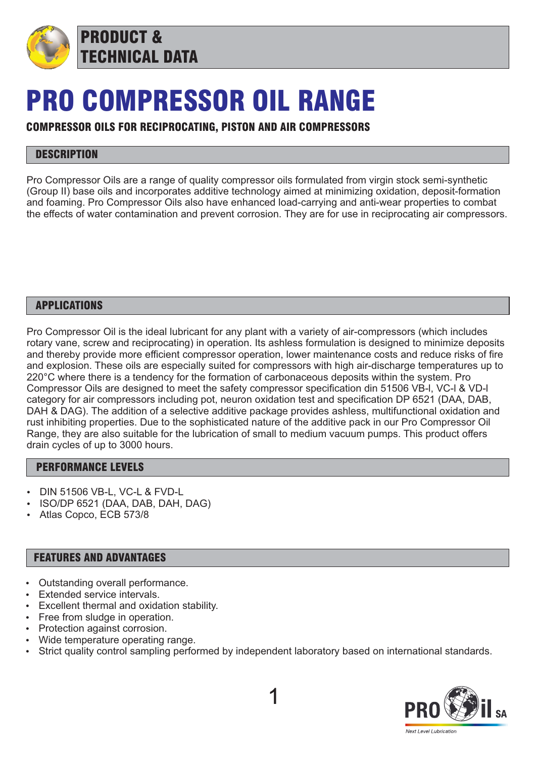

## PRO COMPRESSOR OIL RANGE

## COMPRESSOR OILS FOR RECIPROCATING, PISTON AND AIR COMPRESSORS

## **DESCRIPTION**

Pro Compressor Oils are a range of quality compressor oils formulated from virgin stock semi-synthetic (Group II) base oils and incorporates additive technology aimed at minimizing oxidation, deposit-formation and foaming. Pro Compressor Oils also have enhanced load-carrying and anti-wear properties to combat the effects of water contamination and prevent corrosion. They are for use in reciprocating air compressors.

#### APPLICATIONS

Pro Compressor Oil is the ideal lubricant for any plant with a variety of air-compressors (which includes rotary vane, screw and reciprocating) in operation. Its ashless formulation is designed to minimize deposits and thereby provide more efficient compressor operation, lower maintenance costs and reduce risks of fire and explosion. These oils are especially suited for compressors with high air-discharge temperatures up to 220°C where there is a tendency for the formation of carbonaceous deposits within the system. Pro Compressor Oils are designed to meet the safety compressor specification din 51506 VB-l, VC-l & VD-l category for air compressors including pot, neuron oxidation test and specification DP 6521 (DAA, DAB, DAH & DAG). The addition of a selective additive package provides ashless, multifunctional oxidation and rust inhibiting properties. Due to the sophisticated nature of the additive pack in our Pro Compressor Oil Range, they are also suitable for the lubrication of small to medium vacuum pumps. This product offers drain cycles of up to 3000 hours.

### PERFORMANCE LEVELS

- DIN 51506 VB-L, VC-L & FVD-L
- ISO/DP 6521 (DAA, DAB, DAH, DAG)
- Atlas Copco, ECB 573/8

#### FEATURES AND ADVANTAGES

- Outstanding overall performance.
- Extended service intervals.
- Excellent thermal and oxidation stability.
- Free from sludge in operation.
- Protection against corrosion.
- Wide temperature operating range.
- Strict quality control sampling performed by independent laboratory based on international standards.

1